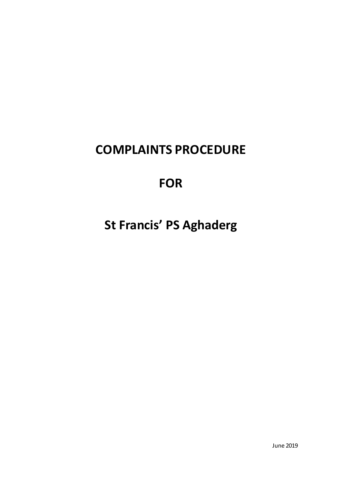# **COMPLAINTS PROCEDURE**

# **FOR**

**St Francis' PS Aghaderg**

June 2019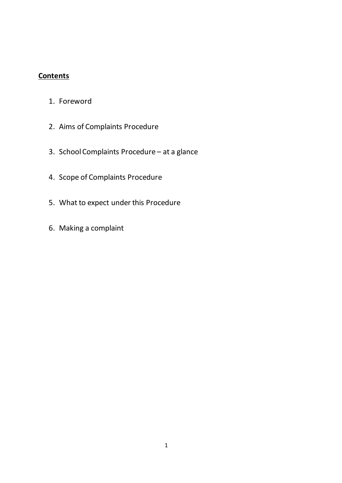# **Contents**

- 1. Foreword
- 2. Aims of Complaints Procedure
- 3. School Complaints Procedure at a glance
- 4. Scope of Complaints Procedure
- 5. What to expect under this Procedure
- 6. Making a complaint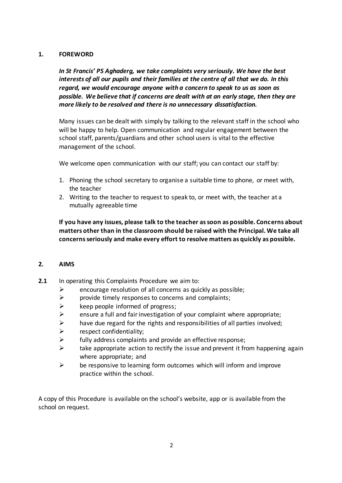#### **1. FOREWORD**

*In St Francis' PS Aghaderg, we take complaints very seriously. We have the best interests of all our pupils and their families at the centre of all that we do. In this regard, we would encourage anyone with a concern to speak to us as soon as possible. We believe that if concerns are dealt with at an early stage, then they are more likely to be resolved and there is no unnecessary dissatisfaction.*

Many issues can be dealt with simply by talking to the relevant staff in the school who will be happy to help. Open communication and regular engagement between the school staff, parents/guardians and other school users is vital to the effective management of the school.

We welcome open communication with our staff; you can contact our staff by:

- 1. Phoning the school secretary to organise a suitable time to phone, or meet with, the teacher
- 2. Writing to the teacher to request to speak to, or meet with, the teacher at a mutually agreeable time

**If you have any issues, please talk to the teacher as soon as possible. Concerns about matters other than in the classroom should be raised with the Principal. We take all concerns seriously and make every effort to resolve matters as quickly as possible.**

#### **2. AIMS**

- **2.1** In operating this Complaints Procedure we aim to:
	- $\triangleright$  encourage resolution of all concerns as quickly as possible;
	- $\triangleright$  provide timely responses to concerns and complaints;
	- $\triangleright$  keep people informed of progress;
	- $\triangleright$  ensure a full and fair investigation of your complaint where appropriate;
	- $\triangleright$  have due regard for the rights and responsibilities of all parties involved;
	- $\triangleright$  respect confidentiality;
	- $\triangleright$  fully address complaints and provide an effective response;
	- $\triangleright$  take appropriate action to rectify the issue and prevent it from happening again where appropriate; and
	- $\triangleright$  be responsive to learning form outcomes which will inform and improve practice within the school.

A copy of this Procedure is available on the school's website, app or is available from the school on request.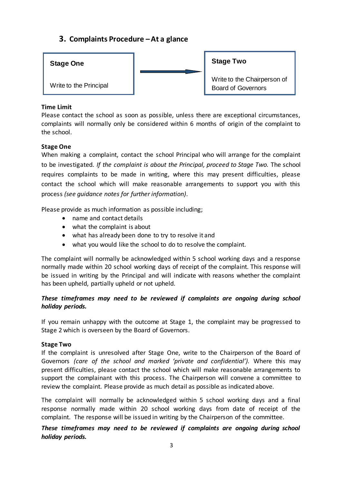# **3. Complaints Procedure –At a glance**



## **Time Limit**

Please contact the school as soon as possible, unless there are exceptional circumstances, complaints will normally only be considered within 6 months of origin of the complaint to the school.

# **Stage One**

When making a complaint, contact the school Principal who will arrange for the complaint to be investigated. *If the complaint is about the Principal, proceed to Stage Two.* The school requires complaints to be made in writing, where this may present difficulties, please contact the school which will make reasonable arrangements to support you with this process *(see guidance notes for further information)*.

Please provide as much information as possible including;

- name and contact details
- what the complaint is about
- what has already been done to try to resolve it and
- what you would like the school to do to resolve the complaint.

The complaint will normally be acknowledged within 5 school working days and a response normally made within 20 school working days of receipt of the complaint. This response will be issued in writing by the Principal and will indicate with reasons whether the complaint has been upheld, partially upheld or not upheld.

# *These timeframes may need to be reviewed if complaints are ongoing during school holiday periods.*

If you remain unhappy with the outcome at Stage 1, the complaint may be progressed to Stage 2 which is overseen by the Board of Governors.

#### **Stage Two**

If the complaint is unresolved after Stage One, write to the Chairperson of the Board of Governors *(care of the school and marked 'private and confidential').* Where this may present difficulties, please contact the school which will make reasonable arrangements to support the complainant with this process. The Chairperson will convene a committee to review the complaint. Please provide as much detail as possible as indicated above.

The complaint will normally be acknowledged within 5 school working days and a final response normally made within 20 school working days from date of receipt of the complaint. The response will be issued in writing by the Chairperson of the committee.

# *These timeframes may need to be reviewed if complaints are ongoing during school holiday periods.*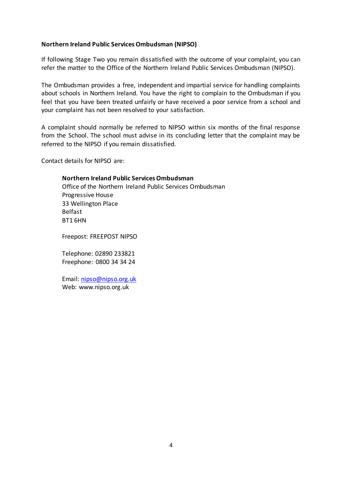#### **Northern Ireland Public Services Ombudsman (NIPSO)**

If following Stage Two you remain dissatisfied with the outcome of your complaint, you can refer the matter to the Office of the Northern Ireland Public Services Ombudsman (NIPSO).

The Ombudsman provides a free, independent and impartial service for handling complaints about schools in Northern Ireland. You have the right to complain to the Ombudsman if you feel that you have been treated unfairly or have received a poor service from a school and your complaint has not been resolved to your satisfaction.

A complaint should normally be referred to NIPSO within six months of the final response from the School. The school must advise in its concluding letter that the complaint may be referred to the NIPSO if you remain dissatisfied.

Contact details for NIPSO are:

**Northern Ireland Public Services Ombudsman** Office of the Northern Ireland Public Services Ombudsman Progressive House 33 Wellington Place Belfast BT1 6HN

Freepost: FREEPOST NIPSO

Telephone: 02890 233821 Freephone: 0800 34 34 24

Email[: nipso@nipso.org.uk](mailto:nipso@nipso.org.uk) Web: [www.nipso.org.uk](http://www.nipso.org.uk/)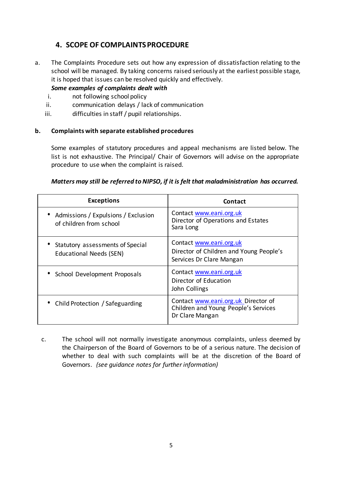# **4. SCOPE OF COMPLAINTSPROCEDURE**

a. The Complaints Procedure sets out how any expression of dissatisfaction relating to the school will be managed. By taking concerns raised seriously at the earliest possible stage, it is hoped that issues can be resolved quickly and effectively.

*Some examples of complaints dealt with*

- i. not following school policy
- ii. communication delays / lack of communication
- iii. difficulties in staff / pupil relationships.

#### **b. Complaints with separate established procedures**

Some examples of statutory procedures and appeal mechanisms are listed below. The list is not exhaustive. The Principal/ Chair of Governors will advise on the appropriate procedure to use when the complaint is raised.

## *Matters may still be referred to NIPSO, if it is felt that maladministration has occurred.*

| <b>Exceptions</b>                                                  | Contact                                                                                        |
|--------------------------------------------------------------------|------------------------------------------------------------------------------------------------|
| • Admissions / Expulsions / Exclusion<br>of children from school   | Contact www.eani.org.uk<br>Director of Operations and Estates<br>Sara Long                     |
| Statutory assessments of Special<br><b>Educational Needs (SEN)</b> | Contact www.eani.org.uk<br>Director of Children and Young People's<br>Services Dr Clare Mangan |
| • School Development Proposals                                     | Contact www.eani.org.uk<br>Director of Education<br>John Collings                              |
| • Child Protection / Safeguarding                                  | Contact www.eani.org.uk Director of<br>Children and Young People's Services<br>Dr Clare Mangan |

c. The school will not normally investigate anonymous complaints, unless deemed by the Chairperson of the Board of Governors to be of a serious nature. The decision of whether to deal with such complaints will be at the discretion of the Board of Governors. *(see guidance notes for further information)*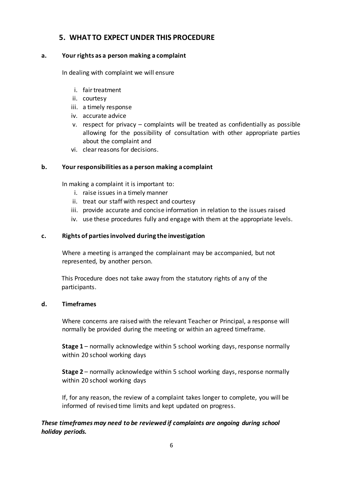# **5. WHAT TO EXPECT UNDER THIS PROCEDURE**

## **a. Your rights as a person making a complaint**

In dealing with complaint we will ensure

- i. fairtreatment
- ii. courtesy
- iii. a timely response
- iv. accurate advice
- v. respect for privacy complaints will be treated as confidentially as possible allowing for the possibility of consultation with other appropriate parties about the complaint and
- vi. clear reasons for decisions.

# **b. Your responsibilities as a person making a complaint**

In making a complaint it is important to:

- i. raise issues in a timely manner
- ii. treat our staff with respect and courtesy
- iii. provide accurate and concise information in relation to the issues raised
- iv. use these procedures fully and engage with them at the appropriate levels.

## **c. Rights of parties involved during the investigation**

Where a meeting is arranged the complainant may be accompanied, but not represented, by another person.

This Procedure does not take away from the statutory rights of any of the participants.

## **d. Timeframes**

Where concerns are raised with the relevant Teacher or Principal, a response will normally be provided during the meeting or within an agreed timeframe.

**Stage 1** – normally acknowledge within 5 school working days, response normally within 20 school working days

**Stage 2** – normally acknowledge within 5 school working days, response normally within 20 school working days

If, for any reason, the review of a complaint takes longer to complete, you will be informed of revised time limits and kept updated on progress.

# *These timeframes may need to be reviewed if complaints are ongoing during school holiday periods.*